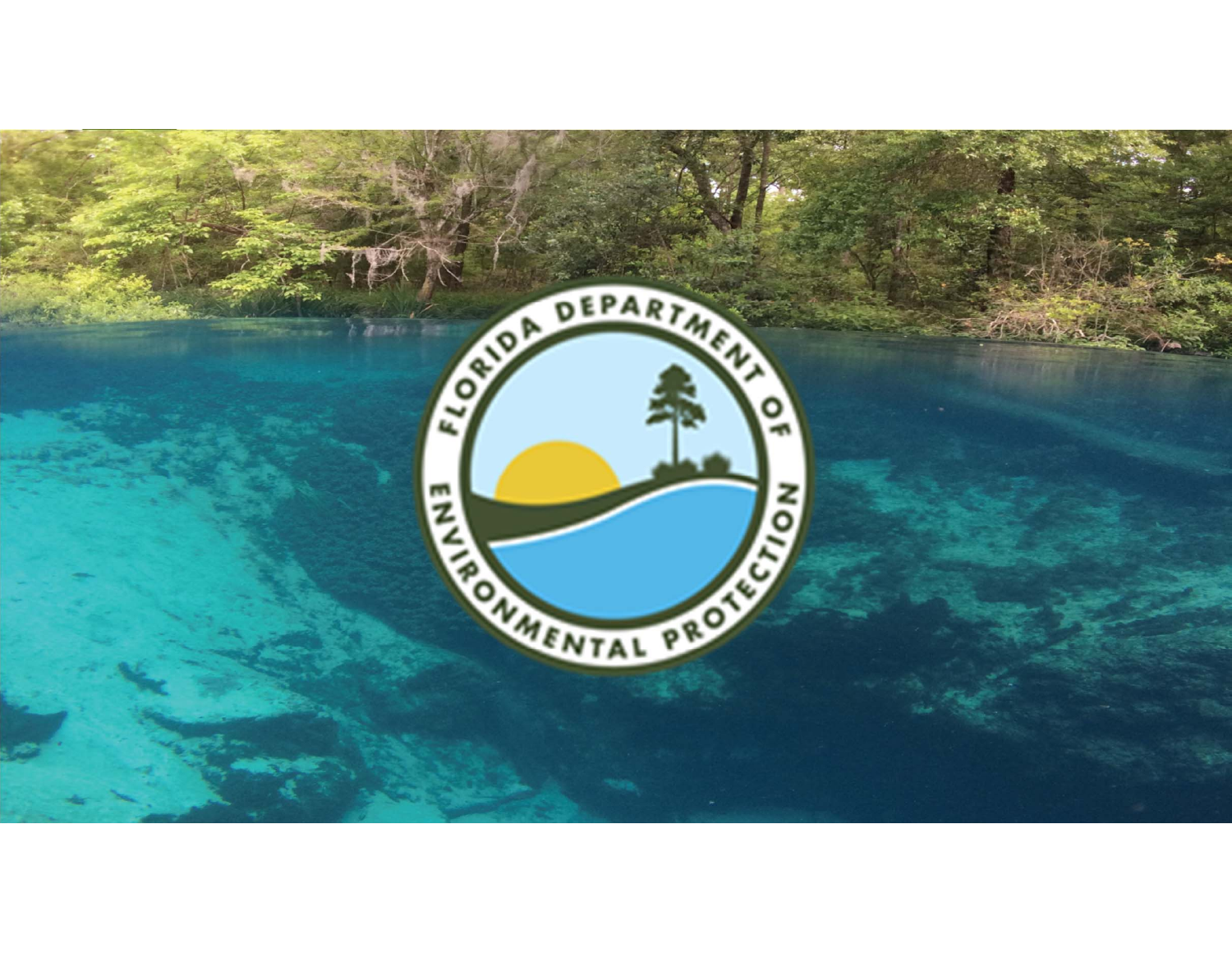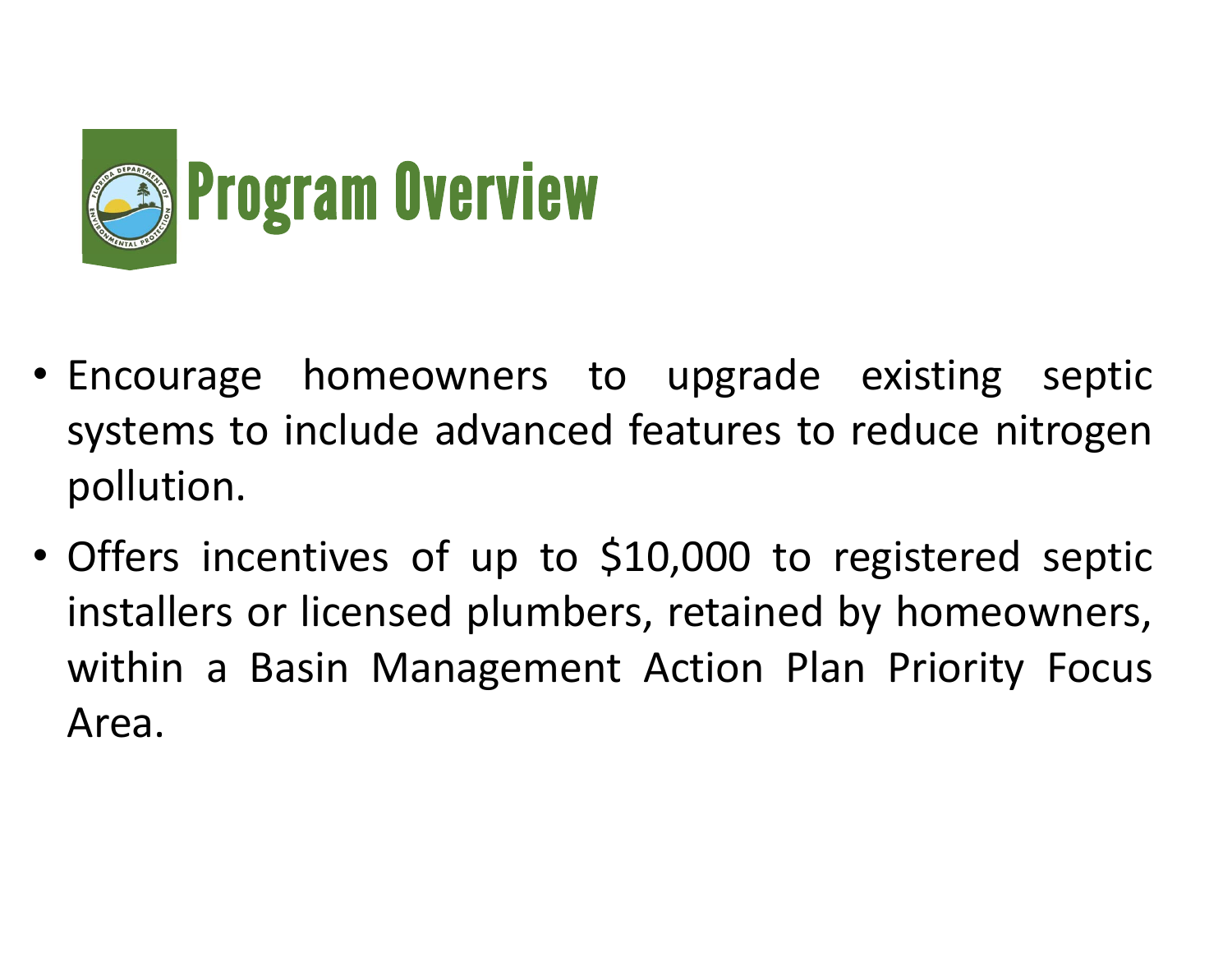

- Encourage homeowners to upgrade existing septic systems to include advanced features to reduce nitrogen pollution.
- • Offers incentives of up to \$10,000 to registered septic installers or licensed plumbers, retained by homeowners, within <sup>a</sup> Basin Management Action Plan Priority Focus Area.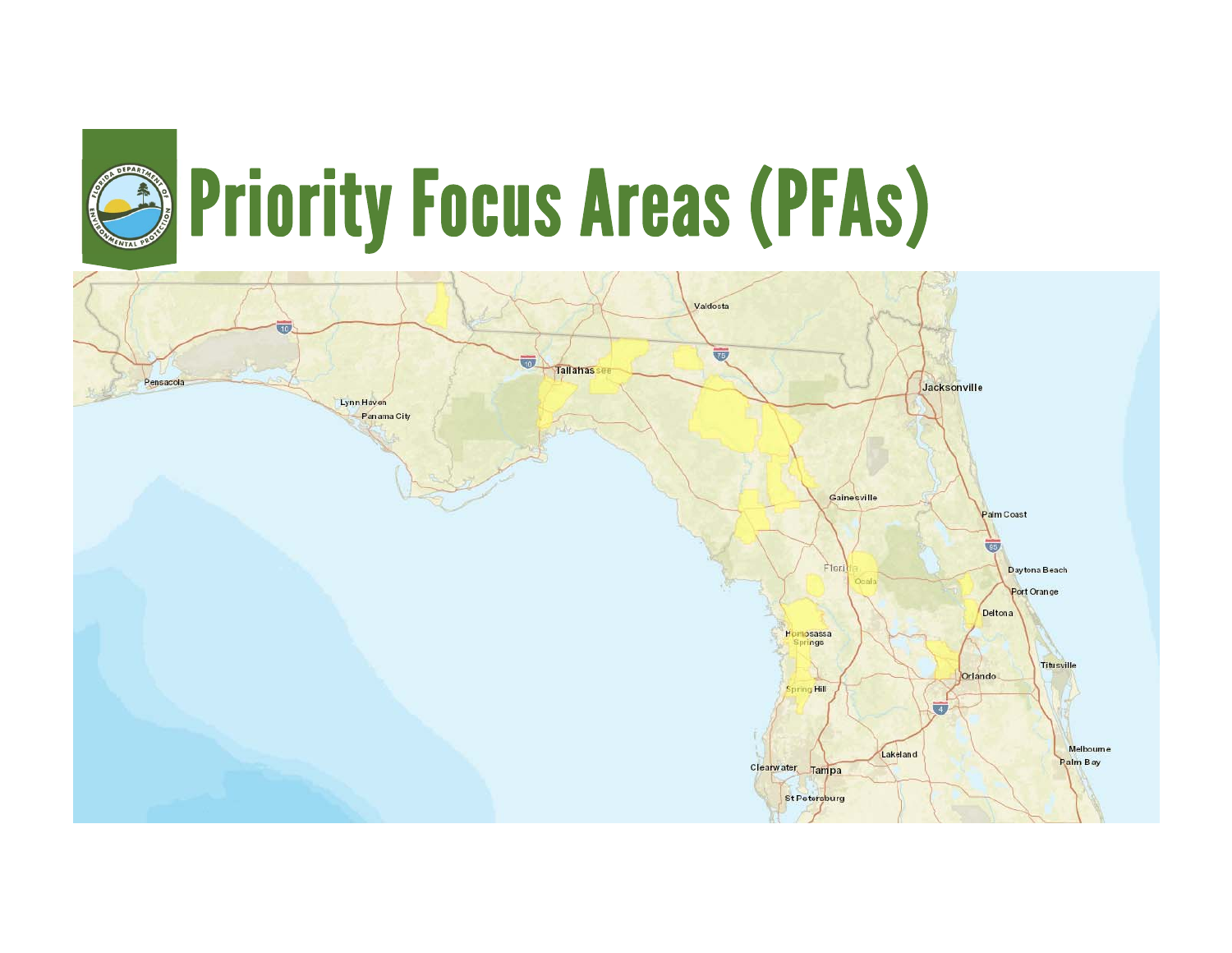

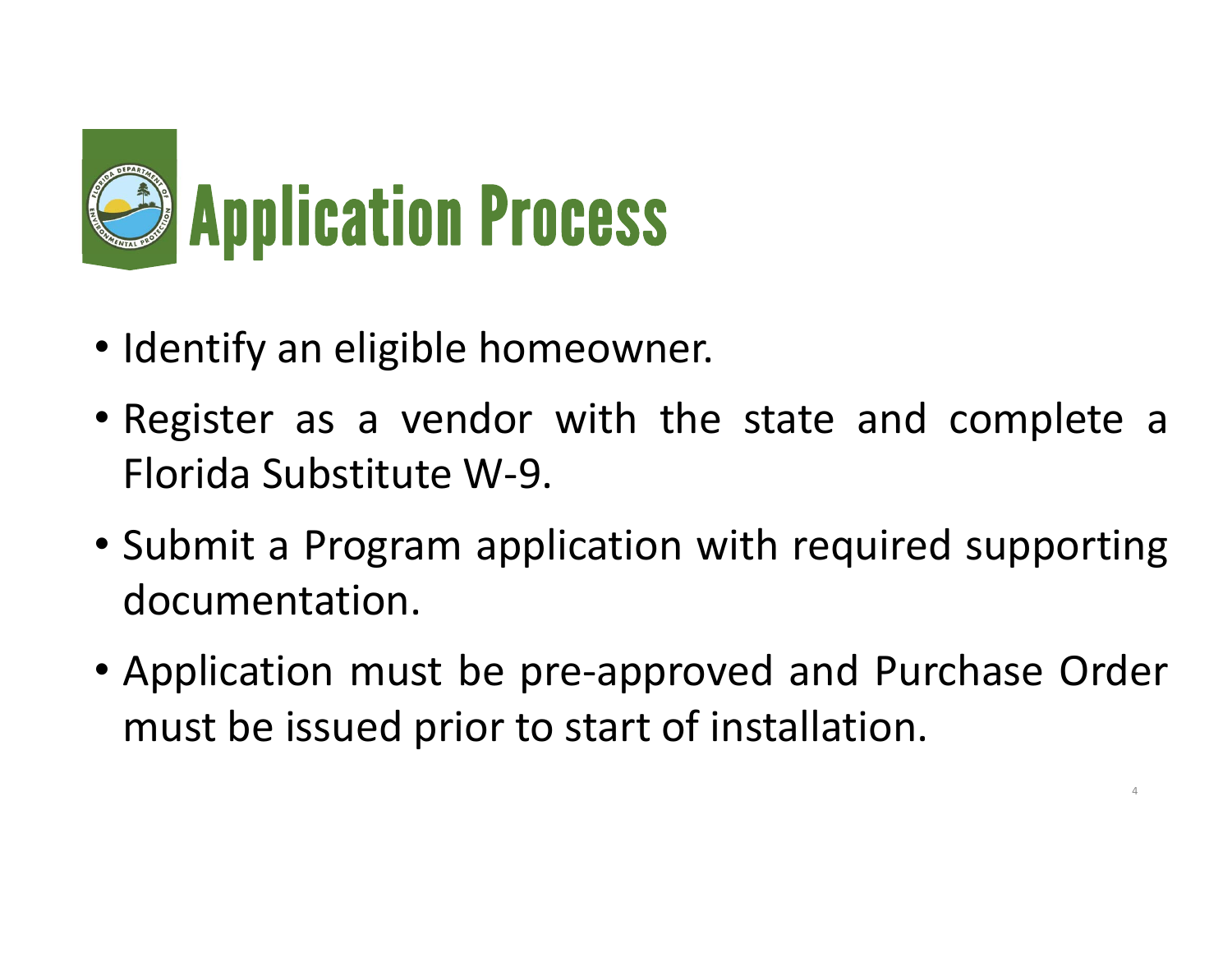

- Identify an eligible homeowner.
- Register as <sup>a</sup> vendor with the state and complete <sup>a</sup> Florida Substitute W‐9.
- Submit <sup>a</sup> Program application with required supporting documentation.
- Application must be pre‐approved and Purchase Order must be issued prior to start of installation.

4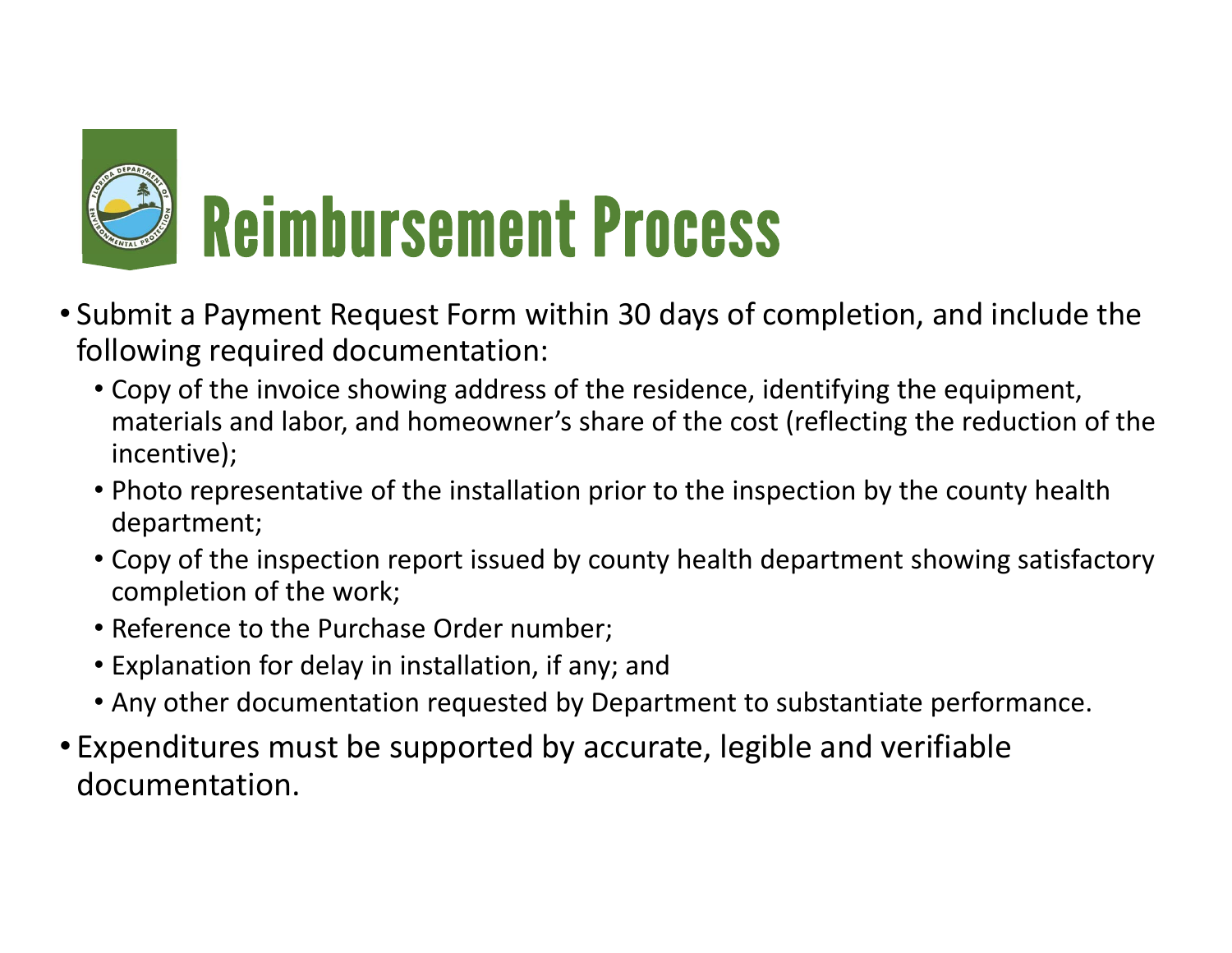

- Submit a Payment Request Form within 30 days of completion, and include the following required documentation:
	- Copy of the invoice showing address of the residence, identifying the equipment, materials and labor, and homeowner's share of the cost (reflecting the reduction of the incentive);
	- Photo representative of the installation prior to the inspection by the county health department;
	- Copy of the inspection report issued by county health department showing satisfactory completion of the work;
	- Reference to the Purchase Order number;
	- Explanation for delay in installation, if any; and
	- Any other documentation requested by Department to substantiate performance.
- Expenditures must be supported by accurate, legible and verifiable documentation.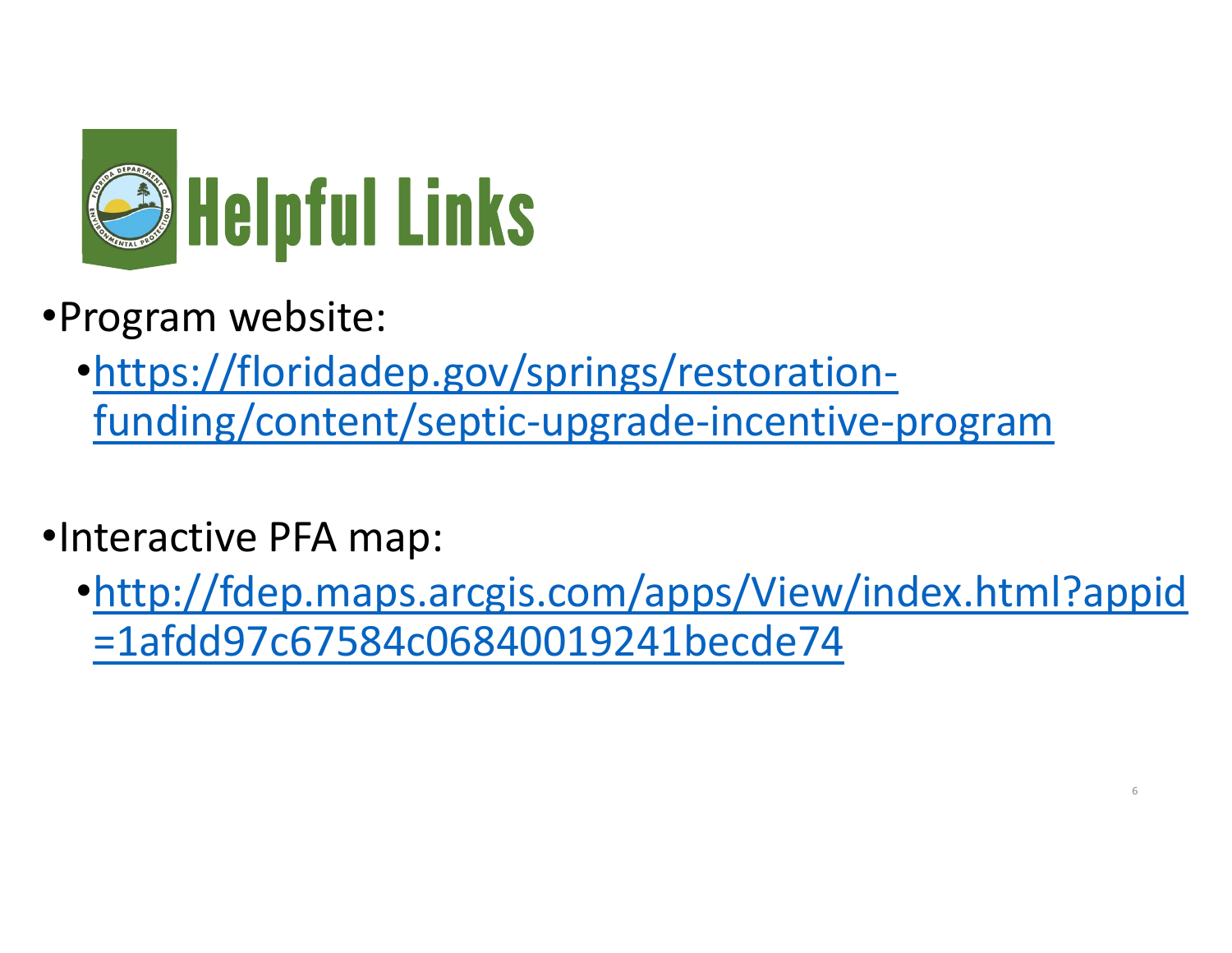

- •Program website:
	- •https://floridadep.gov/springs/restoration‐ funding/content/septic‐upgrade‐incentive‐program
- •Interactive PFA map:
	- •http://fdep.maps.arcgis.com/apps/View/index.html?appid =1afdd97c67584c06840019241becde74

6